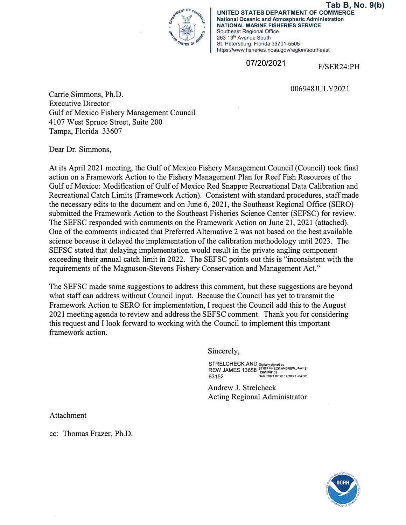

**UNITED STATES DEPARTMENT OF COMMERCE National Oceanic and Atmospheric Administration NATIONAL MARINE FISHERIES SERVICE**  Southeast Regional Office 263 13**th** Avenue South St. Petersburg, Florida 33701-5505 https://www.fisheries.noaa.gov/region/southeast **Tab B, No. 9(b)**

07/20/2021 F/SER24:PH

006948JULY2021

Carrie Simmons, Ph.D. Executive Director Gulf of Mexico Fishery Management Council 4107 West Spruce Street, Suite 200 Tampa, Florida 33607

Dear Dr. Simmons,

At its April 2021 meeting, the Gulf of Mexico Fishery Management Council (Council) took final action on a Framework Action to the Fishery Management Plan for Reef Fish Resources of the Gulf of Mexico: Modification of Gulf of Mexico Red Snapper Recreational Data Calibration and Recreational Catch Limits (Framework Action). Consistent with standard procedures, staff made the necessary edits to the document and on June 6, 2021, the Southeast Regional Office (SERO) submitted the Framework Action to the Southeast Fisheries Science Center (SEFSC) for review. The SEFSC responded with comments on the Framework Action on June 21, 2021 (attached). One of the comments indicated that Preferred Alternative 2 was not based on the best available science because it delayed the implementation of the calibration methodology until 2023. The SEFSC stated that delaying implementation would result in the private angling component exceeding their annual catch limit in 2022. The SEFSC points out this is "inconsistent with the requirements of the Magnuson-Stevens Fishery Conservation and Management Act."

The SEFSC made some suggestions to address this comment, but these suggestions are beyond what staff can address without Council input. Because the Council has yet to transmit the Framework Action to SERO for implementation, I request the Council add this to the August 2021 meeting agenda to review and address the SEFSC comment. Thank you for considering this request and I look forward to working with the Council to implement this important framework action.

Sincerely,

STRELCHECK.AND Digitally signed by<br>REW.JAMES.13658<sub>,1365863152</sub> 63152 **Date: 2021.07.20 14:20:27 -04'00'** 

Andrew J. Strelcheck Acting Regional Administrator

Attachment

cc: Thomas Frazer, Ph.D.

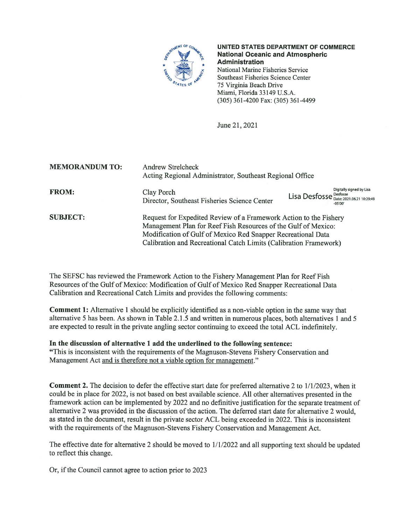

UNITED STATES DEPARTMENT OF COMMERCE **National Oceanic and Atmospheric Administration** National Marine Fisheries Service Southeast Fisheries Science Center 75 Virginia Beach Drive Miami, Florida 33149 U.S.A.

(305) 361-4200 Fax: (305) 361-4499

June 21, 2021

| <b>MEMORANDUM TO:</b> | <b>Andrew Strelcheck</b><br>Acting Regional Administrator, Southeast Regional Office                                                                                                                                                                                     |                        |                                       |
|-----------------------|--------------------------------------------------------------------------------------------------------------------------------------------------------------------------------------------------------------------------------------------------------------------------|------------------------|---------------------------------------|
| <b>FROM:</b>          | Clay Porch<br>Director, Southeast Fisheries Science Center                                                                                                                                                                                                               | Lisa Desfosse Desfosse | Digitally signed by Lisa<br>$-05'00'$ |
| <b>SUBJECT:</b>       | Request for Expedited Review of a Framework Action to the Fishery<br>Management Plan for Reef Fish Resources of the Gulf of Mexico:<br>Modification of Gulf of Mexico Red Snapper Recreational Data<br>Calibration and Recreational Catch Limits (Calibration Framework) |                        |                                       |

The SEFSC has reviewed the Framework Action to the Fishery Management Plan for Reef Fish Resources of the Gulf of Mexico: Modification of Gulf of Mexico Red Snapper Recreational Data Calibration and Recreational Catch Limits and provides the following comments:

**Comment 1:** Alternative 1 should be explicitly identified as a non-viable option in the same way that alternative 5 has been. As shown in Table 2.1.5 and written in numerous places, both alternatives 1 and 5 are expected to result in the private angling sector continuing to exceed the total ACL indefinitely.

In the discussion of alternative 1 add the underlined to the following sentence:

"This is inconsistent with the requirements of the Magnuson-Stevens Fishery Conservation and Management Act and is therefore not a viable option for management."

**Comment 2.** The decision to defer the effective start date for preferred alternative 2 to 1/1/2023, when it could be in place for 2022, is not based on best available science. All other alternatives presented in the framework action can be implemented by 2022 and no definitive justification for the separate treatment of alternative 2 was provided in the discussion of the action. The deferred start date for alternative 2 would, as stated in the document, result in the private sector ACL being exceeded in 2022. This is inconsistent with the requirements of the Magnuson-Stevens Fishery Conservation and Management Act.

The effective date for alternative 2 should be moved to  $1/1/2022$  and all supporting text should be updated to reflect this change.

Or, if the Council cannot agree to action prior to 2023